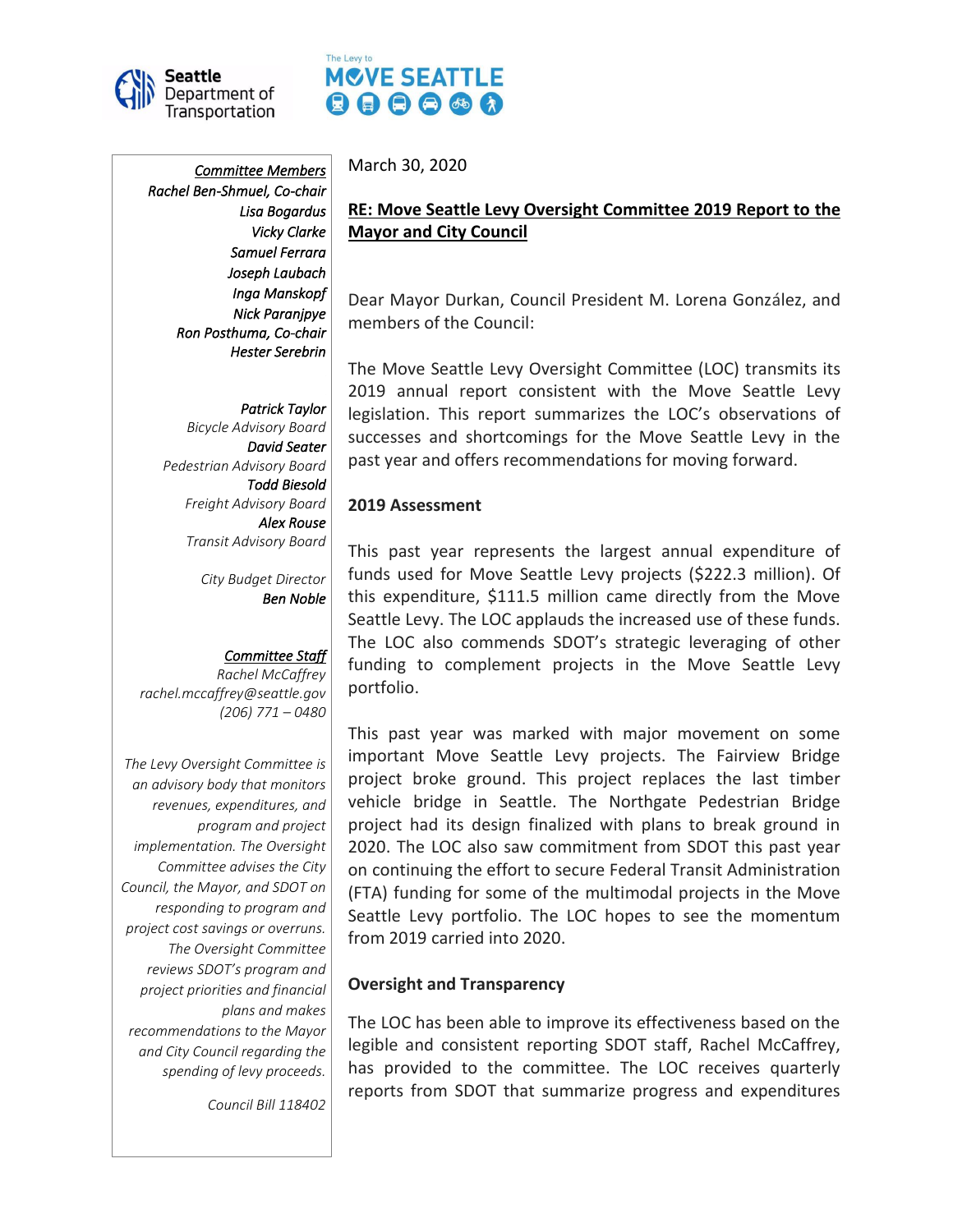

# The Levy to MOVE SEATTLE  $\mathbf{0} \mathbf{\Theta} \mathbf{\Theta} \mathbf{\Theta} \mathbf{\Theta}$

*Committee Members Rachel Ben-Shmuel, Co-chair Lisa Bogardus Vicky Clarke Samuel Ferrara Joseph Laubach Inga Manskopf Nick Paranjpye Ron Posthuma, Co-chair Hester Serebrin* 

*Patrick Taylor Bicycle Advisory Board David Seater Pedestrian Advisory Board Todd Biesold Freight Advisory Board Alex Rouse Transit Advisory Board*

> *City Budget Director Ben Noble*

#### *Committee Staff*

*Rachel McCaffrey rachel.mccaffrey@seattle.gov (206) 771 – 0480*

*The Levy Oversight Committee is an advisory body that monitors revenues, expenditures, and program and project implementation. The Oversight Committee advises the City Council, the Mayor, and SDOT on responding to program and project cost savings or overruns. The Oversight Committee reviews SDOT's program and project priorities and financial plans and makes recommendations to the Mayor and City Council regarding the spending of levy proceeds.*

*Council Bill 118402*

March 30, 2020

# **RE: Move Seattle Levy Oversight Committee 2019 Report to the Mayor and City Council**

Dear Mayor Durkan, Council President M. Lorena González, and members of the Council:

The Move Seattle Levy Oversight Committee (LOC) transmits its 2019 annual report consistent with the Move Seattle Levy legislation. This report summarizes the LOC's observations of successes and shortcomings for the Move Seattle Levy in the past year and offers recommendations for moving forward.

#### **2019 Assessment**

This past year represents the largest annual expenditure of funds used for Move Seattle Levy projects (\$222.3 million). Of this expenditure, \$111.5 million came directly from the Move Seattle Levy. The LOC applauds the increased use of these funds. The LOC also commends SDOT's strategic leveraging of other funding to complement projects in the Move Seattle Levy portfolio.

This past year was marked with major movement on some important Move Seattle Levy projects. The Fairview Bridge project broke ground. This project replaces the last timber vehicle bridge in Seattle. The Northgate Pedestrian Bridge project had its design finalized with plans to break ground in 2020. The LOC also saw commitment from SDOT this past year on continuing the effort to secure Federal Transit Administration (FTA) funding for some of the multimodal projects in the Move Seattle Levy portfolio. The LOC hopes to see the momentum from 2019 carried into 2020.

#### **Oversight and Transparency**

The LOC has been able to improve its effectiveness based on the legible and consistent reporting SDOT staff, Rachel McCaffrey, has provided to the committee. The LOC receives quarterly reports from SDOT that summarize progress and expenditures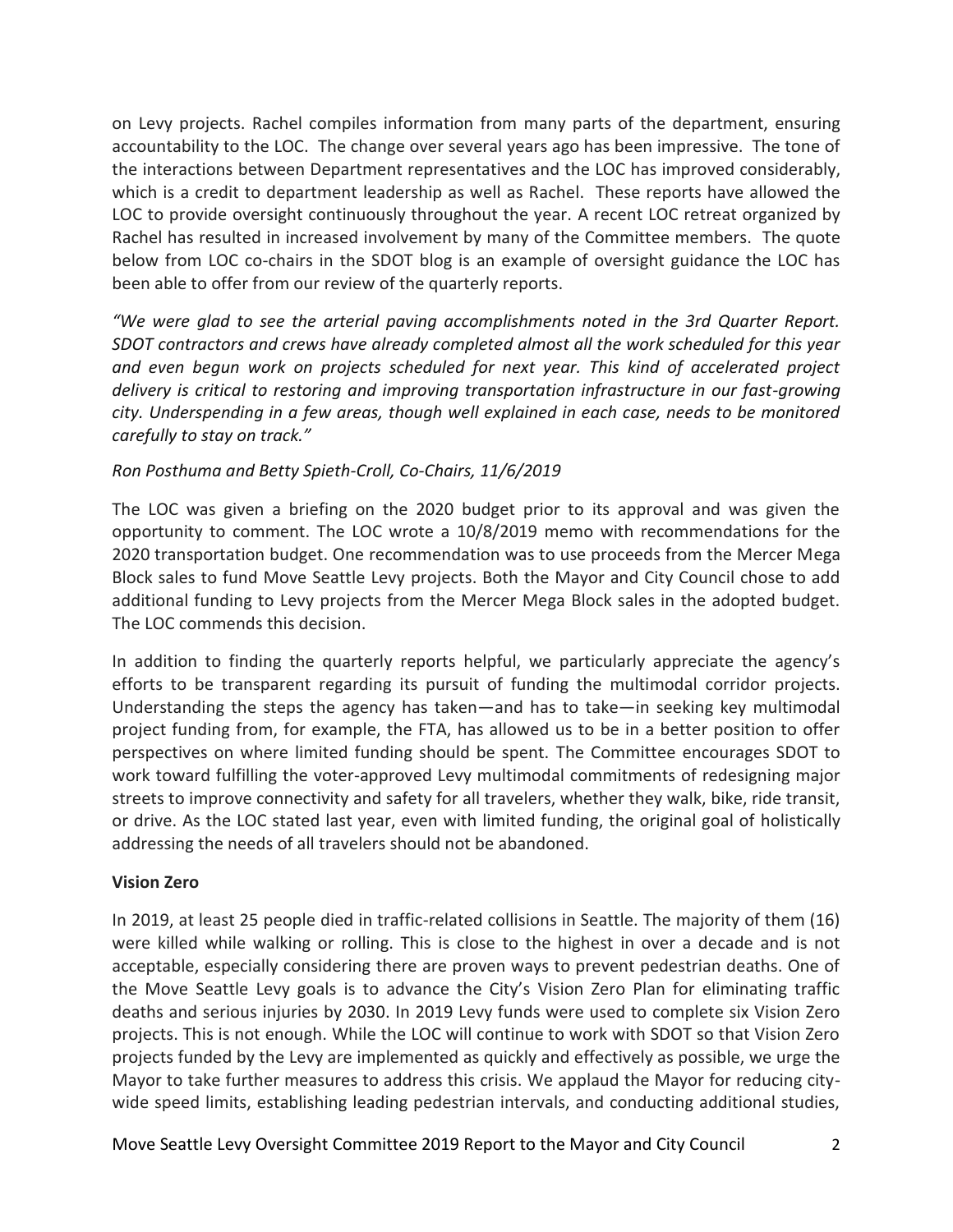on Levy projects. Rachel compiles information from many parts of the department, ensuring accountability to the LOC. The change over several years ago has been impressive. The tone of the interactions between Department representatives and the LOC has improved considerably, which is a credit to department leadership as well as Rachel. These reports have allowed the LOC to provide oversight continuously throughout the year. A recent LOC retreat organized by Rachel has resulted in increased involvement by many of the Committee members. The quote below from LOC co-chairs in the SDOT blog is an example of oversight guidance the LOC has been able to offer from our review of the quarterly reports.

*"We were glad to see the arterial paving accomplishments noted in the 3rd Quarter Report. SDOT contractors and crews have already completed almost all the work scheduled for this year and even begun work on projects scheduled for next year. This kind of accelerated project delivery is critical to restoring and improving transportation infrastructure in our fast-growing city. Underspending in a few areas, though well explained in each case, needs to be monitored carefully to stay on track."*

# *Ron Posthuma and Betty Spieth-Croll, Co-Chairs, 11/6/2019*

The LOC was given a briefing on the 2020 budget prior to its approval and was given the opportunity to comment. The LOC wrote a 10/8/2019 memo with recommendations for the 2020 transportation budget. One recommendation was to use proceeds from the Mercer Mega Block sales to fund Move Seattle Levy projects. Both the Mayor and City Council chose to add additional funding to Levy projects from the Mercer Mega Block sales in the adopted budget. The LOC commends this decision.

In addition to finding the quarterly reports helpful, we particularly appreciate the agency's efforts to be transparent regarding its pursuit of funding the multimodal corridor projects. Understanding the steps the agency has taken—and has to take—in seeking key multimodal project funding from, for example, the FTA, has allowed us to be in a better position to offer perspectives on where limited funding should be spent. The Committee encourages SDOT to work toward fulfilling the voter-approved Levy multimodal commitments of redesigning major streets to improve connectivity and safety for all travelers, whether they walk, bike, ride transit, or drive. As the LOC stated last year, even with limited funding, the original goal of holistically addressing the needs of all travelers should not be abandoned.

# **Vision Zero**

In 2019, at least 25 people died in traffic-related collisions in Seattle. The majority of them (16) were killed while walking or rolling. This is close to the highest in over a decade and is not acceptable, especially considering there are proven ways to prevent pedestrian deaths. One of the Move Seattle Levy goals is to advance the City's Vision Zero Plan for eliminating traffic deaths and serious injuries by 2030. In 2019 Levy funds were used to complete six Vision Zero projects. This is not enough. While the LOC will continue to work with SDOT so that Vision Zero projects funded by the Levy are implemented as quickly and effectively as possible, we urge the Mayor to take further measures to address this crisis. We applaud the Mayor for reducing citywide speed limits, establishing leading pedestrian intervals, and conducting additional studies,

Move Seattle Levy Oversight Committee 2019 Report to the Mayor and City Council 2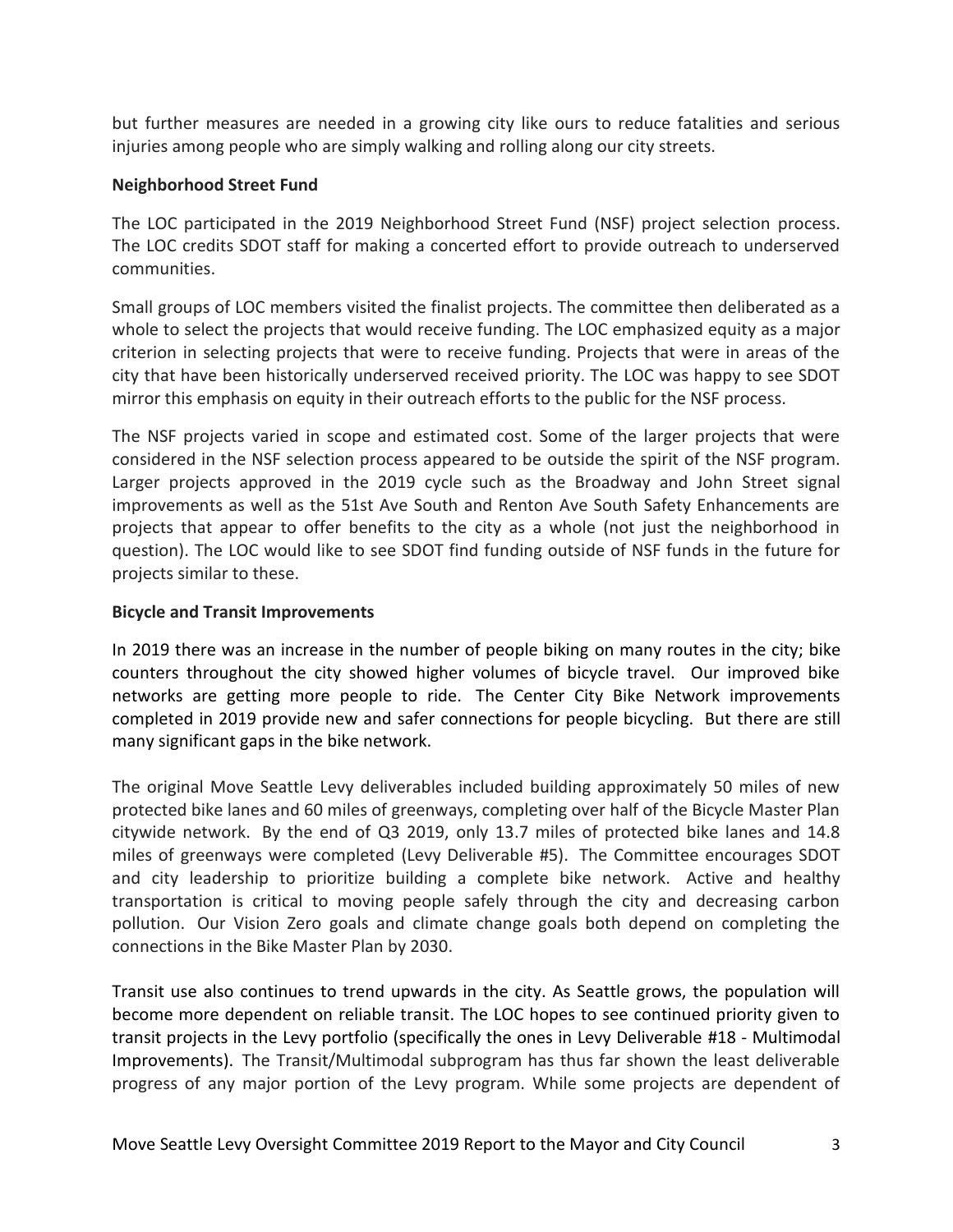but further measures are needed in a growing city like ours to reduce fatalities and serious injuries among people who are simply walking and rolling along our city streets.

## **Neighborhood Street Fund**

The LOC participated in the 2019 Neighborhood Street Fund (NSF) project selection process. The LOC credits SDOT staff for making a concerted effort to provide outreach to underserved communities.

Small groups of LOC members visited the finalist projects. The committee then deliberated as a whole to select the projects that would receive funding. The LOC emphasized equity as a major criterion in selecting projects that were to receive funding. Projects that were in areas of the city that have been historically underserved received priority. The LOC was happy to see SDOT mirror this emphasis on equity in their outreach efforts to the public for the NSF process.

The NSF projects varied in scope and estimated cost. Some of the larger projects that were considered in the NSF selection process appeared to be outside the spirit of the NSF program. Larger projects approved in the 2019 cycle such as the Broadway and John Street signal improvements as well as the 51st Ave South and Renton Ave South Safety Enhancements are projects that appear to offer benefits to the city as a whole (not just the neighborhood in question). The LOC would like to see SDOT find funding outside of NSF funds in the future for projects similar to these.

## **Bicycle and Transit Improvements**

In 2019 there was an increase in the number of people biking on many routes in the city; bike counters throughout the city showed higher volumes of bicycle travel. Our improved bike networks are getting more people to ride. The Center City Bike Network improvements completed in 2019 provide new and safer connections for people bicycling. But there are still many significant gaps in the bike network.

The original Move Seattle Levy deliverables included building approximately 50 miles of new protected bike lanes and 60 miles of greenways, completing over half of the Bicycle Master Plan citywide network. By the end of Q3 2019, only 13.7 miles of protected bike lanes and 14.8 miles of greenways were completed (Levy Deliverable #5). The Committee encourages SDOT and city leadership to prioritize building a complete bike network. Active and healthy transportation is critical to moving people safely through the city and decreasing carbon pollution. Our Vision Zero goals and climate change goals both depend on completing the connections in the Bike Master Plan by 2030.

Transit use also continues to trend upwards in the city. As Seattle grows, the population will become more dependent on reliable transit. The LOC hopes to see continued priority given to transit projects in the Levy portfolio (specifically the ones in Levy Deliverable #18 - Multimodal Improvements). The Transit/Multimodal subprogram has thus far shown the least deliverable progress of any major portion of the Levy program. While some projects are dependent of